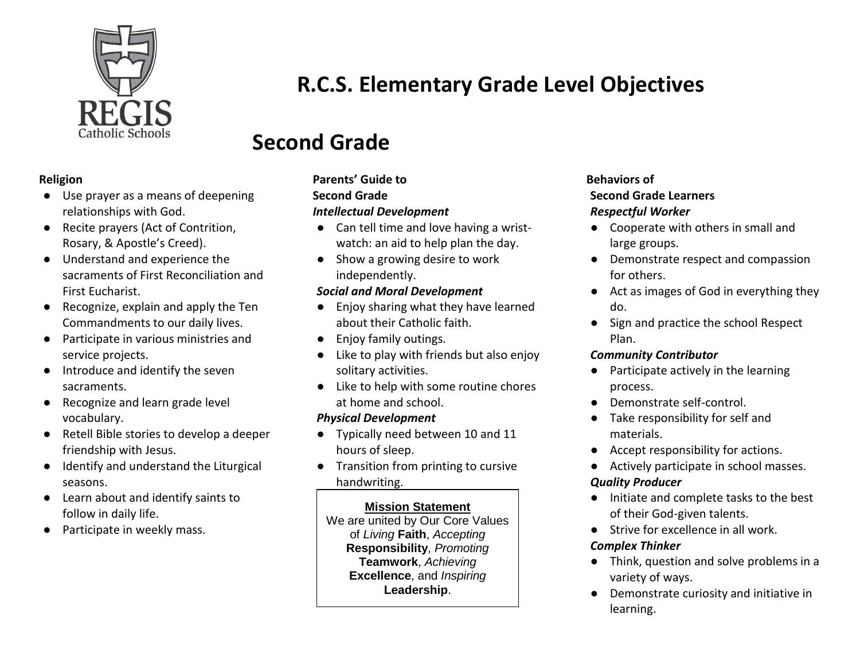

# **R.C.S. Elementary Grade Level Objectives**

# **Second Grade**

#### **Religion**

- Use prayer as a means of deepening relationships with God.
- Recite prayers (Act of Contrition, Rosary, & Apostle's Creed).
- Understand and experience the sacraments of First Reconciliation and First Eucharist.
- Recognize, explain and apply the Ten Commandments to our daily lives.
- Participate in various ministries and service projects.
- Introduce and identify the seven sacraments.
- Recognize and learn grade level vocabulary.
- Retell Bible stories to develop a deeper friendship with Jesus.
- Identify and understand the Liturgical seasons.
- Learn about and identify saints to follow in daily life.
- Participate in weekly mass.

# **Parents' Guide to**

## **Second Grade**

## *Intellectual Development*

- Can tell time and love having a wristwatch: an aid to help plan the day.
- Show a growing desire to work independently.

## *Social and Moral Development*

- Enjoy sharing what they have learned about their Catholic faith.
- Enjoy family outings.
- Like to play with friends but also enjoy solitary activities.
- Like to help with some routine chores at home and school.

# *Physical Development*

- Typically need between 10 and 11 hours of sleep.
- Transition from printing to cursive handwriting.

# **Mission Statement**

We are united by Our Core Values of *Living* **Faith**, *Accepting* **Responsibility**, *Promoting* **Teamwork**, *Achieving* **Excellence**, and *Inspiring* **Leadership**.

### **Behaviors of Second Grade Learners** *Respectful Worker*

- Cooperate with others in small and large groups.
- Demonstrate respect and compassion for others.
- Act as images of God in everything they do.
- Sign and practice the school Respect Plan.

# *Community Contributor*

- Participate actively in the learning process.
- Demonstrate self-control.
- Take responsibility for self and materials.
- Accept responsibility for actions.
- Actively participate in school masses.

# *Quality Producer*

- Initiate and complete tasks to the best of their God-given talents.
- Strive for excellence in all work.

## *Complex Thinker*

- Think, question and solve problems in a variety of ways.
- Demonstrate curiosity and initiative in learning.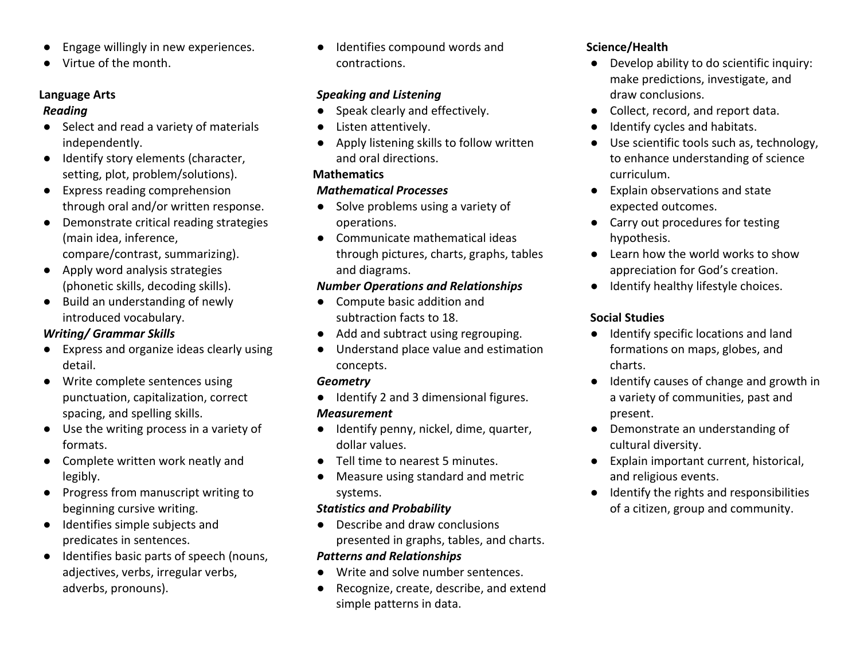- Engage willingly in new experiences.
- Virtue of the month.

#### **Language Arts** *Reading*

- Select and read a variety of materials independently.
- Identify story elements (character, setting, plot, problem/solutions).
- Express reading comprehension through oral and/or written response.
- Demonstrate critical reading strategies (main idea, inference, compare/contrast, summarizing).
- Apply word analysis strategies (phonetic skills, decoding skills).
- Build an understanding of newly introduced vocabulary.

### *Writing/ Grammar Skills*

- Express and organize ideas clearly using detail.
- Write complete sentences using punctuation, capitalization, correct spacing, and spelling skills.
- Use the writing process in a variety of formats.
- Complete written work neatly and legibly.
- Progress from manuscript writing to beginning cursive writing.
- Identifies simple subjects and predicates in sentences.
- Identifies basic parts of speech (nouns, adjectives, verbs, irregular verbs, adverbs, pronouns).

Identifies compound words and contractions.

### *Speaking and Listening*

- Speak clearly and effectively.
- Listen attentively.
- Apply listening skills to follow written and oral directions.

### **Mathematics**

## *Mathematical Processes*

- Solve problems using a variety of operations.
- Communicate mathematical ideas through pictures, charts, graphs, tables and diagrams.

### *Number Operations and Relationships*

- Compute basic addition and subtraction facts to 18.
- Add and subtract using regrouping.
- Understand place value and estimation concepts.

### *Geometry*

- Identify 2 and 3 dimensional figures. *Measurement*
- Identify penny, nickel, dime, quarter, dollar values.
- Tell time to nearest 5 minutes.
- Measure using standard and metric systems.

## *Statistics and Probability*

- Describe and draw conclusions presented in graphs, tables, and charts. *Patterns and Relationships*
- Write and solve number sentences.
- Recognize, create, describe, and extend simple patterns in data.

## **Science/Health**

- Develop ability to do scientific inquiry: make predictions, investigate, and draw conclusions.
- Collect, record, and report data.
- Identify cycles and habitats.
- Use scientific tools such as, technology, to enhance understanding of science curriculum.
- Explain observations and state expected outcomes.
- Carry out procedures for testing hypothesis.
- Learn how the world works to show appreciation for God's creation.
- Identify healthy lifestyle choices.

## **Social Studies**

- Identify specific locations and land formations on maps, globes, and charts.
- Identify causes of change and growth in a variety of communities, past and present.
- Demonstrate an understanding of cultural diversity.
- Explain important current, historical, and religious events.
- Identify the rights and responsibilities of a citizen, group and community.